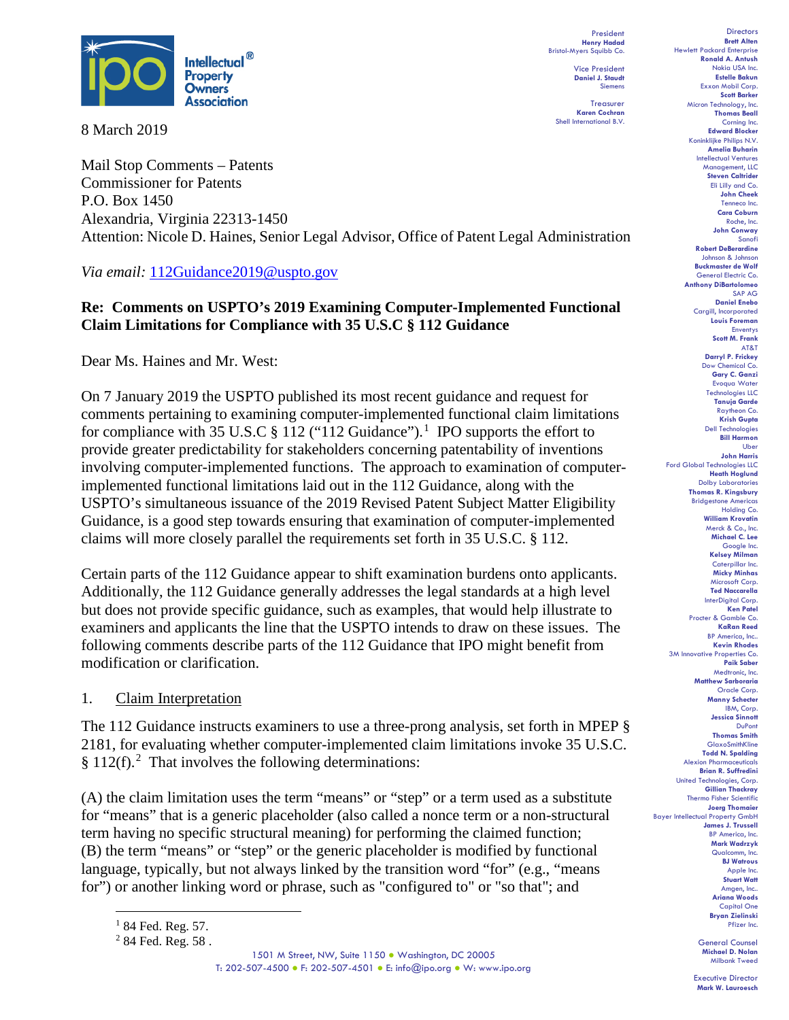

8 March 2019

Mail Stop Comments – Patents Commissioner for Patents P.O. Box 1450 Alexandria, Virginia 22313-1450 Attention: Nicole D. Haines, Senior Legal Advisor, Office of Patent Legal Administration

*Via email:* 112Guidance2019@uspto.gov

# **Re: Comments on USPTO's 2019 Examining Computer-Implemented Functional Claim Limitations for Compliance with 35 U.S.C § 112 Guidance**

Dear Ms. Haines and Mr. West:

On 7 January 2019 the USPTO published its most recent guidance and request for comments pertaining to examining computer-implemented functional claim limitations for compliance with 35 U.S.C  $\S 112$  $\S 112$  $\S 112$  ("112 Guidance").<sup>1</sup> IPO supports the effort to provide greater predictability for stakeholders concerning patentability of inventions involving computer-implemented functions. The approach to examination of computerimplemented functional limitations laid out in the 112 Guidance, along with the USPTO's simultaneous issuance of the 2019 Revised Patent Subject Matter Eligibility Guidance, is a good step towards ensuring that examination of computer-implemented claims will more closely parallel the requirements set forth in 35 U.S.C. § 112.

Certain parts of the 112 Guidance appear to shift examination burdens onto applicants. Additionally, the 112 Guidance generally addresses the legal standards at a high level but does not provide specific guidance, such as examples, that would help illustrate to examiners and applicants the line that the USPTO intends to draw on these issues. The following comments describe parts of the 112 Guidance that IPO might benefit from modification or clarification.

# 1. Claim Interpretation

The 112 Guidance instructs examiners to use a three-prong analysis, set forth in MPEP § 2181, for evaluating whether computer-implemented claim limitations invoke 35 U.S.C. § 11[2](#page-0-1)(f).<sup>2</sup> That involves the following determinations:

(A) the claim limitation uses the term "means" or "step" or a term used as a substitute for "means" that is a generic placeholder (also called a nonce term or a non-structural term having no specific structural meaning) for performing the claimed function; (B) the term "means" or "step" or the generic placeholder is modified by functional language, typically, but not always linked by the transition word "for" (e.g., "means for") or another linking word or phrase, such as "configured to" or "so that"; and

President **Henry Hadad** Bristol-Myers Squibb Co. Vice President

> **Daniel J. Staudt** Siemens Treasurer

**Karen Cochran** Shell International B.V.

**Directors Brett Alten** Hewlett Packard Enterprise **Ronald A. Antush** Nokia USA Inc. **Estelle Bakun** Exxon Mobil Corp. **Scott Barker** Micron Technology, Inc. **Thomas Beall** Corning Inc. **Edward Blocker** Koninklijke Philips N.V. **Amelia Buharin** Intellectual Ventures Management, LLC **Steven Caltrider** Eli Lilly and Co. **John Cheek** Tenneco Inc. **Cara Coburn** Roche, Inc. **John Conway** Sanofi **Robert DeBerardine** Johnson & Johnson **Buckmaster de Wolf** General Electric Co. **Anthony DiBartolomeo** SAP AG **Daniel Enebo** Caraill, Incorporated **Louis Foreman** Enventys **Scott M. Frank** AT&T **Darryl P. Frickey** Dow Chemical Co. **Gary C. Ganzi** Evoqua Water Technologies LLC **Tanuja Garde** Raytheon Co. **Krish Gupta** Dell Technologies **Bill Harmon** Uber **John Harris** Ford Global Technologies LLC **Heath Hoglund** Dolby Laboratories **Thomas R. Kingsbury** Bridgestone Americas Holding Co. **William Krovatin** Merck & Co., Inc. **Michael C. Lee** Google Inc. **Kelsey Milman** Caterpillar Inc. **Micky Minhas** Microsoft Corp. **Ted Naccarella** InterDigital Corp. **Ken Patel** Procter & Gamble Co. **KaRan Reed** BP America, Inc.. **Kevin Rhodes** 3M Innovative Properties Co. **Paik Saber** Medtronic, Inc. **Matthew Sarboraria** Oracle Corp. **Manny Schecter** IBM, Corp. **Jessica Sinnott** DuPont **Thomas Smith** GlaxoSmithKline **Todd N. Spalding** Alexion Pharmaceuticals **Brian R. Suffredini** United Technologies, Corp. **Gillian Thackray** Thermo Fisher Scientific **Joerg Thomaier** Bayer Intellectual Property GmbH **James J. Trussell** BP America, Inc. **Mark Wadrzyk** Qualcomm, Inc. **BJ Watrous** Apple Inc. **Stuart Watt** Amgen, Inc.. **Ariana Woods** Capital One **Bryan Zielinski** Pfizer Inc.

> General Counsel **Michael D. Nolan** Milbank Tweed

 $184$  Fed. Reg. 57.

<span id="page-0-1"></span><span id="page-0-0"></span><sup>2</sup> 84 Fed. Reg. 58 .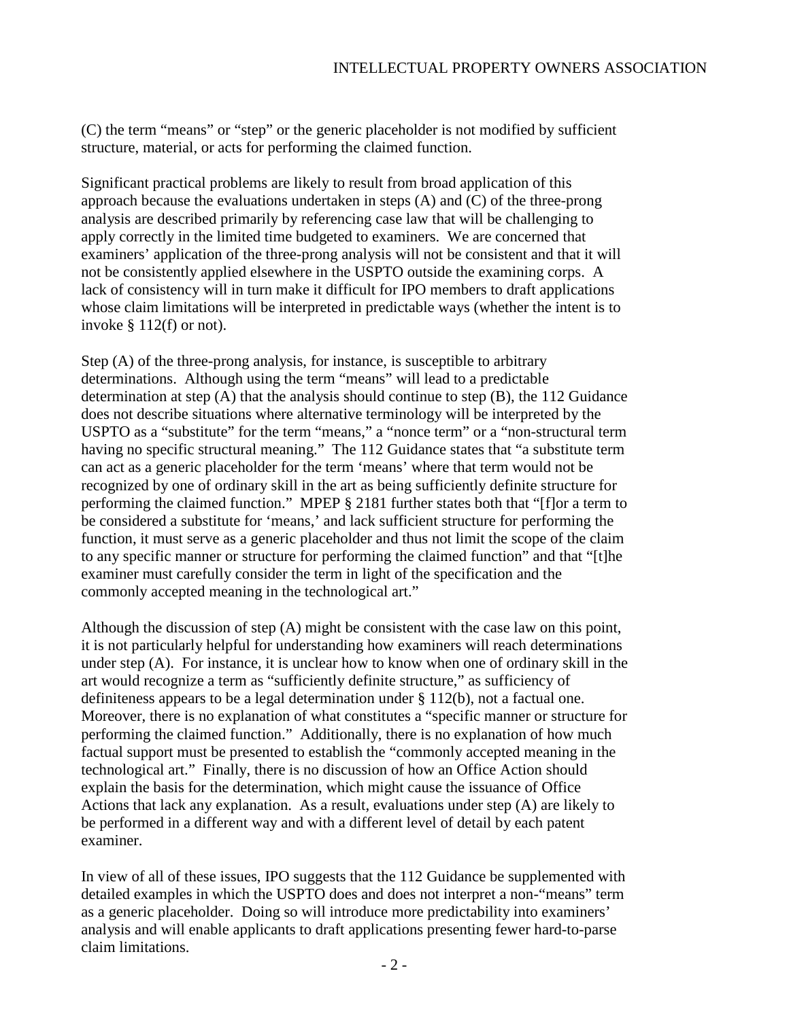(C) the term "means" or "step" or the generic placeholder is not modified by sufficient structure, material, or acts for performing the claimed function.

Significant practical problems are likely to result from broad application of this approach because the evaluations undertaken in steps (A) and (C) of the three-prong analysis are described primarily by referencing case law that will be challenging to apply correctly in the limited time budgeted to examiners. We are concerned that examiners' application of the three-prong analysis will not be consistent and that it will not be consistently applied elsewhere in the USPTO outside the examining corps. A lack of consistency will in turn make it difficult for IPO members to draft applications whose claim limitations will be interpreted in predictable ways (whether the intent is to invoke  $§$  112(f) or not).

Step (A) of the three-prong analysis, for instance, is susceptible to arbitrary determinations. Although using the term "means" will lead to a predictable determination at step (A) that the analysis should continue to step (B), the 112 Guidance does not describe situations where alternative terminology will be interpreted by the USPTO as a "substitute" for the term "means," a "nonce term" or a "non-structural term having no specific structural meaning." The 112 Guidance states that "a substitute term can act as a generic placeholder for the term 'means' where that term would not be recognized by one of ordinary skill in the art as being sufficiently definite structure for performing the claimed function." MPEP § 2181 further states both that "[f]or a term to be considered a substitute for 'means,' and lack sufficient structure for performing the function, it must serve as a generic placeholder and thus not limit the scope of the claim to any specific manner or structure for performing the claimed function" and that "[t]he examiner must carefully consider the term in light of the specification and the commonly accepted meaning in the technological art."

Although the discussion of step (A) might be consistent with the case law on this point, it is not particularly helpful for understanding how examiners will reach determinations under step (A). For instance, it is unclear how to know when one of ordinary skill in the art would recognize a term as "sufficiently definite structure," as sufficiency of definiteness appears to be a legal determination under § 112(b), not a factual one. Moreover, there is no explanation of what constitutes a "specific manner or structure for performing the claimed function." Additionally, there is no explanation of how much factual support must be presented to establish the "commonly accepted meaning in the technological art." Finally, there is no discussion of how an Office Action should explain the basis for the determination, which might cause the issuance of Office Actions that lack any explanation. As a result, evaluations under step (A) are likely to be performed in a different way and with a different level of detail by each patent examiner.

In view of all of these issues, IPO suggests that the 112 Guidance be supplemented with detailed examples in which the USPTO does and does not interpret a non-"means" term as a generic placeholder. Doing so will introduce more predictability into examiners' analysis and will enable applicants to draft applications presenting fewer hard-to-parse claim limitations.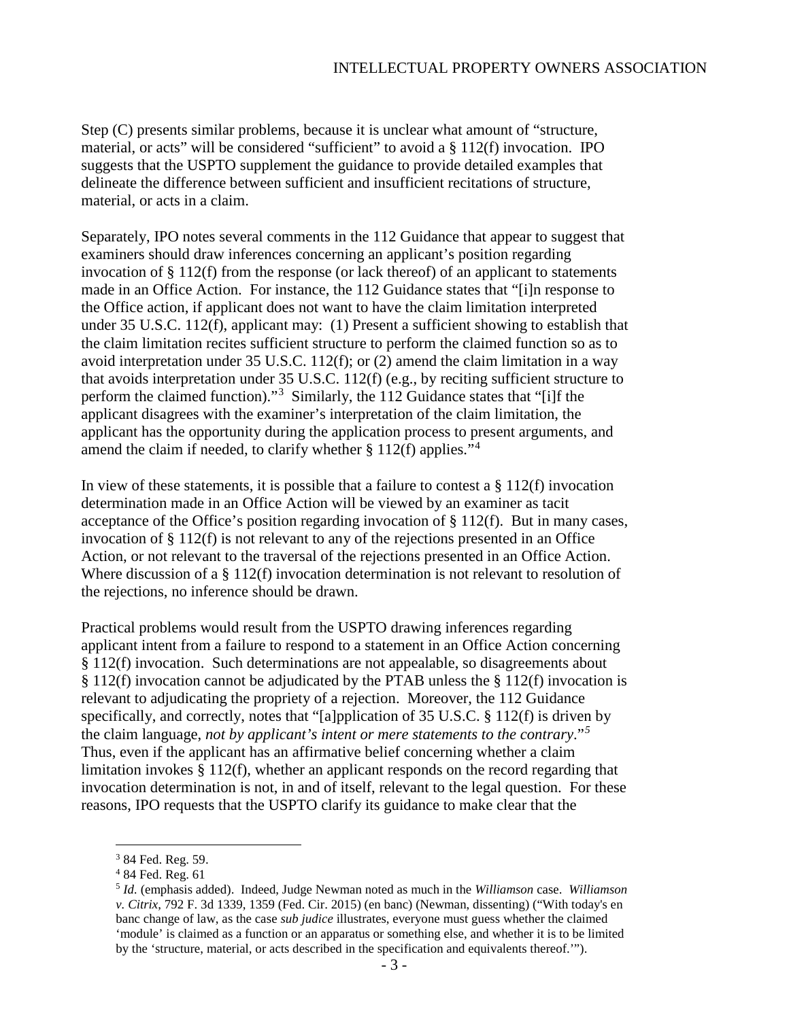Step (C) presents similar problems, because it is unclear what amount of "structure, material, or acts" will be considered "sufficient" to avoid a  $\S 112(f)$  invocation. IPO suggests that the USPTO supplement the guidance to provide detailed examples that delineate the difference between sufficient and insufficient recitations of structure, material, or acts in a claim.

Separately, IPO notes several comments in the 112 Guidance that appear to suggest that examiners should draw inferences concerning an applicant's position regarding invocation of § 112(f) from the response (or lack thereof) of an applicant to statements made in an Office Action. For instance, the 112 Guidance states that "[i]n response to the Office action, if applicant does not want to have the claim limitation interpreted under 35 U.S.C. 112(f), applicant may: (1) Present a sufficient showing to establish that the claim limitation recites sufficient structure to perform the claimed function so as to avoid interpretation under 35 U.S.C. 112(f); or (2) amend the claim limitation in a way that avoids interpretation under 35 U.S.C. 112(f) (e.g., by reciting sufficient structure to perform the claimed function)."<sup>[3](#page-2-0)</sup> Similarly, the 112 Guidance states that "[i]f the applicant disagrees with the examiner's interpretation of the claim limitation, the applicant has the opportunity during the application process to present arguments, and amend the claim if needed, to clarify whether  $\S 112(f)$  applies."<sup>[4](#page-2-1)</sup>

In view of these statements, it is possible that a failure to contest a  $\S 112(f)$  invocation determination made in an Office Action will be viewed by an examiner as tacit acceptance of the Office's position regarding invocation of § 112(f). But in many cases, invocation of § 112(f) is not relevant to any of the rejections presented in an Office Action, or not relevant to the traversal of the rejections presented in an Office Action. Where discussion of a § 112(f) invocation determination is not relevant to resolution of the rejections, no inference should be drawn.

Practical problems would result from the USPTO drawing inferences regarding applicant intent from a failure to respond to a statement in an Office Action concerning § 112(f) invocation. Such determinations are not appealable, so disagreements about § 112(f) invocation cannot be adjudicated by the PTAB unless the § 112(f) invocation is relevant to adjudicating the propriety of a rejection. Moreover, the 112 Guidance specifically, and correctly, notes that "[a]pplication of 35 U.S.C. § 112(f) is driven by the claim language, *not by applicant's intent or mere statements to the contrary*."*[5](#page-2-2)* Thus, even if the applicant has an affirmative belief concerning whether a claim limitation invokes § 112(f), whether an applicant responds on the record regarding that invocation determination is not, in and of itself, relevant to the legal question. For these reasons, IPO requests that the USPTO clarify its guidance to make clear that the

<span id="page-2-0"></span> <sup>3</sup> 84 Fed. Reg. 59.

<sup>4</sup> 84 Fed. Reg. 61

<span id="page-2-2"></span><span id="page-2-1"></span><sup>5</sup> *Id.* (emphasis added). Indeed, Judge Newman noted as much in the *Williamson* case. *Williamson v. Citrix*, 792 F. 3d 1339, 1359 (Fed. Cir. 2015) (en banc) (Newman, dissenting) ("With today's en banc change of law, as the case *sub judice* illustrates, everyone must guess whether the claimed 'module' is claimed as a function or an apparatus or something else, and whether it is to be limited by the 'structure, material, or acts described in the specification and equivalents thereof.'").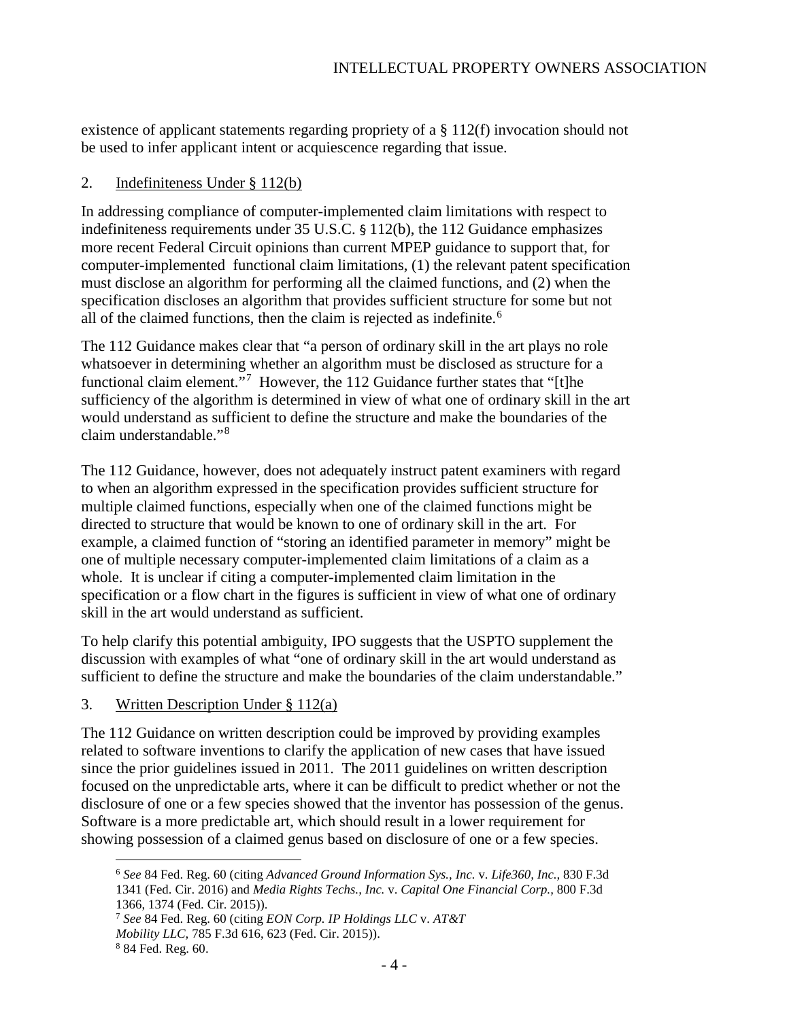existence of applicant statements regarding propriety of a § 112(f) invocation should not be used to infer applicant intent or acquiescence regarding that issue.

### 2. Indefiniteness Under § 112(b)

In addressing compliance of computer-implemented claim limitations with respect to indefiniteness requirements under 35 U.S.C. § 112(b), the 112 Guidance emphasizes more recent Federal Circuit opinions than current MPEP guidance to support that, for computer-implemented functional claim limitations, (1) the relevant patent specification must disclose an algorithm for performing all the claimed functions, and (2) when the specification discloses an algorithm that provides sufficient structure for some but not all of the claimed functions, then the claim is rejected as indefinite.<sup>[6](#page-3-0)</sup>

The 112 Guidance makes clear that "a person of ordinary skill in the art plays no role whatsoever in determining whether an algorithm must be disclosed as structure for a functional claim element."<sup>[7](#page-3-1)</sup> However, the 112 Guidance further states that "[t]he sufficiency of the algorithm is determined in view of what one of ordinary skill in the art would understand as sufficient to define the structure and make the boundaries of the claim understandable."[8](#page-3-2)

The 112 Guidance, however, does not adequately instruct patent examiners with regard to when an algorithm expressed in the specification provides sufficient structure for multiple claimed functions, especially when one of the claimed functions might be directed to structure that would be known to one of ordinary skill in the art. For example, a claimed function of "storing an identified parameter in memory" might be one of multiple necessary computer-implemented claim limitations of a claim as a whole. It is unclear if citing a computer-implemented claim limitation in the specification or a flow chart in the figures is sufficient in view of what one of ordinary skill in the art would understand as sufficient.

To help clarify this potential ambiguity, IPO suggests that the USPTO supplement the discussion with examples of what "one of ordinary skill in the art would understand as sufficient to define the structure and make the boundaries of the claim understandable."

#### 3. Written Description Under § 112(a)

The 112 Guidance on written description could be improved by providing examples related to software inventions to clarify the application of new cases that have issued since the prior guidelines issued in 2011. The 2011 guidelines on written description focused on the unpredictable arts, where it can be difficult to predict whether or not the disclosure of one or a few species showed that the inventor has possession of the genus. Software is a more predictable art, which should result in a lower requirement for showing possession of a claimed genus based on disclosure of one or a few species.

<span id="page-3-0"></span> <sup>6</sup> *See* 84 Fed. Reg. 60 (citing *Advanced Ground Information Sys., Inc.* v. *Life360, Inc.,* 830 F.3d 1341 (Fed. Cir. 2016) and *Media Rights Techs., Inc.* v. *Capital One Financial Corp.,* 800 F.3d

<span id="page-3-1"></span><sup>1366, 1374 (</sup>Fed. Cir. 2015)).

<sup>7</sup> *See* 84 Fed. Reg. 60 (citing *EON Corp. IP Holdings LLC* v. *AT&T*

*Mobility LLC,* 785 F.3d 616, 623 (Fed. Cir. 2015)).

<span id="page-3-2"></span><sup>8</sup> 84 Fed. Reg. 60.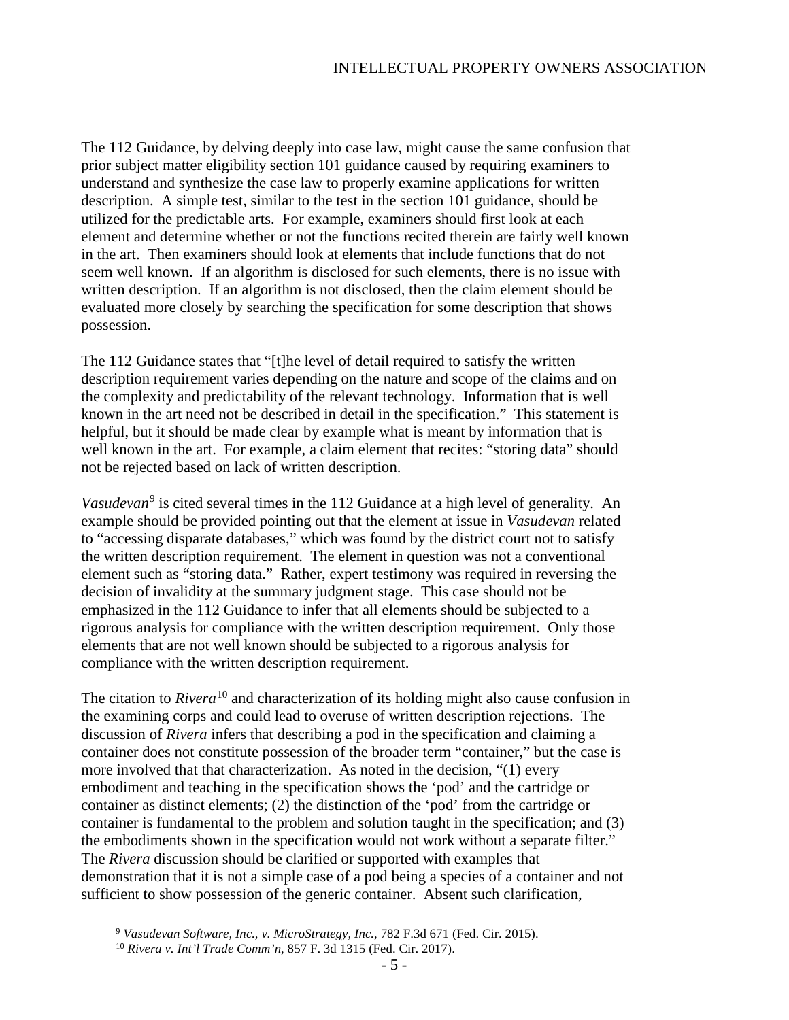The 112 Guidance, by delving deeply into case law, might cause the same confusion that prior subject matter eligibility section 101 guidance caused by requiring examiners to understand and synthesize the case law to properly examine applications for written description. A simple test, similar to the test in the section 101 guidance, should be utilized for the predictable arts. For example, examiners should first look at each element and determine whether or not the functions recited therein are fairly well known in the art. Then examiners should look at elements that include functions that do not seem well known. If an algorithm is disclosed for such elements, there is no issue with written description. If an algorithm is not disclosed, then the claim element should be evaluated more closely by searching the specification for some description that shows possession.

The 112 Guidance states that "[t]he level of detail required to satisfy the written description requirement varies depending on the nature and scope of the claims and on the complexity and predictability of the relevant technology. Information that is well known in the art need not be described in detail in the specification." This statement is helpful, but it should be made clear by example what is meant by information that is well known in the art. For example, a claim element that recites: "storing data" should not be rejected based on lack of written description.

*Vasudevan*<sup>[9](#page-4-0)</sup> is cited several times in the 112 Guidance at a high level of generality. An example should be provided pointing out that the element at issue in *Vasudevan* related to "accessing disparate databases," which was found by the district court not to satisfy the written description requirement. The element in question was not a conventional element such as "storing data." Rather, expert testimony was required in reversing the decision of invalidity at the summary judgment stage. This case should not be emphasized in the 112 Guidance to infer that all elements should be subjected to a rigorous analysis for compliance with the written description requirement. Only those elements that are not well known should be subjected to a rigorous analysis for compliance with the written description requirement.

The citation to *Rivera*<sup>[10](#page-4-1)</sup> and characterization of its holding might also cause confusion in the examining corps and could lead to overuse of written description rejections. The discussion of *Rivera* infers that describing a pod in the specification and claiming a container does not constitute possession of the broader term "container," but the case is more involved that that characterization. As noted in the decision, "(1) every embodiment and teaching in the specification shows the 'pod' and the cartridge or container as distinct elements; (2) the distinction of the 'pod' from the cartridge or container is fundamental to the problem and solution taught in the specification; and (3) the embodiments shown in the specification would not work without a separate filter." The *Rivera* discussion should be clarified or supported with examples that demonstration that it is not a simple case of a pod being a species of a container and not sufficient to show possession of the generic container. Absent such clarification,

<span id="page-4-0"></span> <sup>9</sup> *Vasudevan Software, Inc., v. MicroStrategy, Inc.*, 782 F.3d 671 (Fed. Cir. 2015).

<span id="page-4-1"></span><sup>10</sup> *Rivera v. Int'l Trade Comm'n*, 857 F. 3d 1315 (Fed. Cir. 2017).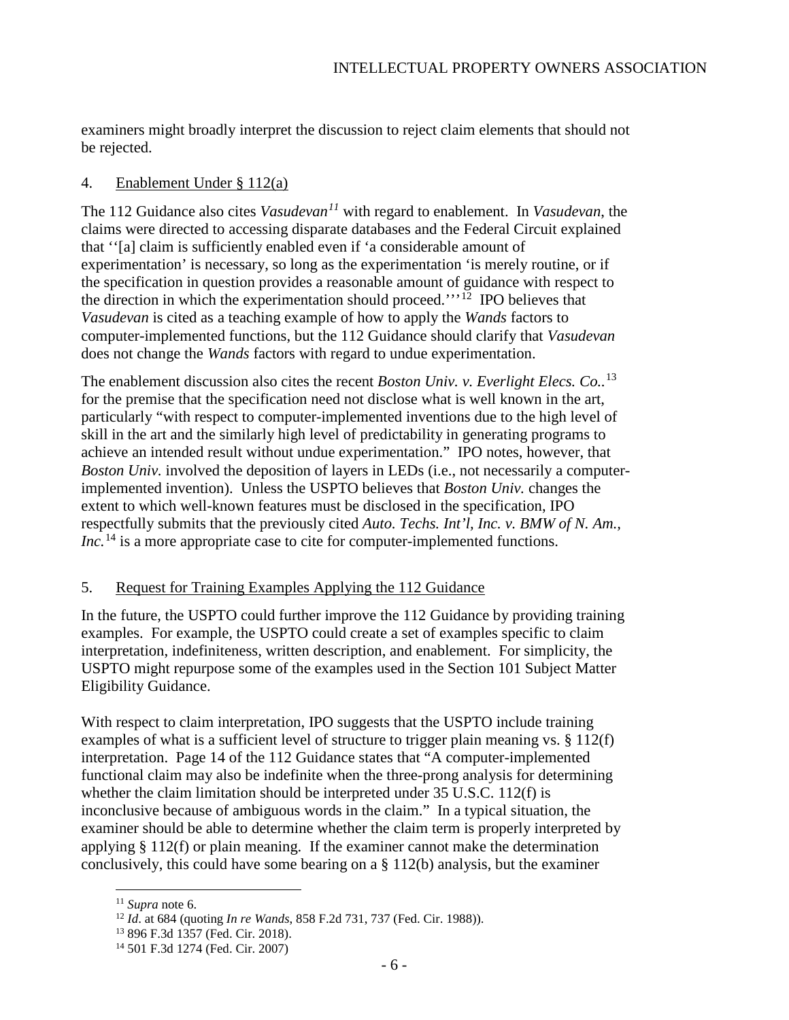examiners might broadly interpret the discussion to reject claim elements that should not be rejected.

### 4. Enablement Under § 112(a)

The 112 Guidance also cites *Vasudevan[11](#page-5-0)* with regard to enablement. In *Vasudevan*, the claims were directed to accessing disparate databases and the Federal Circuit explained that ''[a] claim is sufficiently enabled even if 'a considerable amount of experimentation' is necessary, so long as the experimentation 'is merely routine, or if the specification in question provides a reasonable amount of guidance with respect to the direction in which the experimentation should proceed."<sup>[12](#page-5-1)</sup> IPO believes that *Vasudevan* is cited as a teaching example of how to apply the *Wands* factors to computer-implemented functions, but the 112 Guidance should clarify that *Vasudevan*  does not change the *Wands* factors with regard to undue experimentation.

The enablement discussion also cites the recent *Boston Univ. v. Everlight Elecs. Co..*[13](#page-5-2) for the premise that the specification need not disclose what is well known in the art, particularly "with respect to computer-implemented inventions due to the high level of skill in the art and the similarly high level of predictability in generating programs to achieve an intended result without undue experimentation." IPO notes, however, that *Boston Univ.* involved the deposition of layers in LEDs (i.e., not necessarily a computerimplemented invention). Unless the USPTO believes that *Boston Univ.* changes the extent to which well-known features must be disclosed in the specification, IPO respectfully submits that the previously cited *Auto. Techs. Int'l, Inc. v. BMW of N. Am., Inc.*<sup>[14](#page-5-3)</sup> is a more appropriate case to cite for computer-implemented functions.

# 5. Request for Training Examples Applying the 112 Guidance

In the future, the USPTO could further improve the 112 Guidance by providing training examples. For example, the USPTO could create a set of examples specific to claim interpretation, indefiniteness, written description, and enablement. For simplicity, the USPTO might repurpose some of the examples used in the Section 101 Subject Matter Eligibility Guidance.

With respect to claim interpretation, IPO suggests that the USPTO include training examples of what is a sufficient level of structure to trigger plain meaning vs. § 112(f) interpretation. Page 14 of the 112 Guidance states that "A computer-implemented functional claim may also be indefinite when the three-prong analysis for determining whether the claim limitation should be interpreted under 35 U.S.C. 112(f) is inconclusive because of ambiguous words in the claim." In a typical situation, the examiner should be able to determine whether the claim term is properly interpreted by applying § 112(f) or plain meaning. If the examiner cannot make the determination conclusively, this could have some bearing on a § 112(b) analysis, but the examiner

 <sup>11</sup> *Supra* note 6.

<span id="page-5-2"></span><span id="page-5-1"></span><span id="page-5-0"></span><sup>12</sup> *Id*. at 684 (quoting *In re Wands*, 858 F.2d 731, 737 (Fed. Cir. 1988)).

<sup>13</sup> 896 F.3d 1357 (Fed. Cir. 2018).

<span id="page-5-3"></span><sup>14</sup> 501 F.3d 1274 (Fed. Cir. 2007)